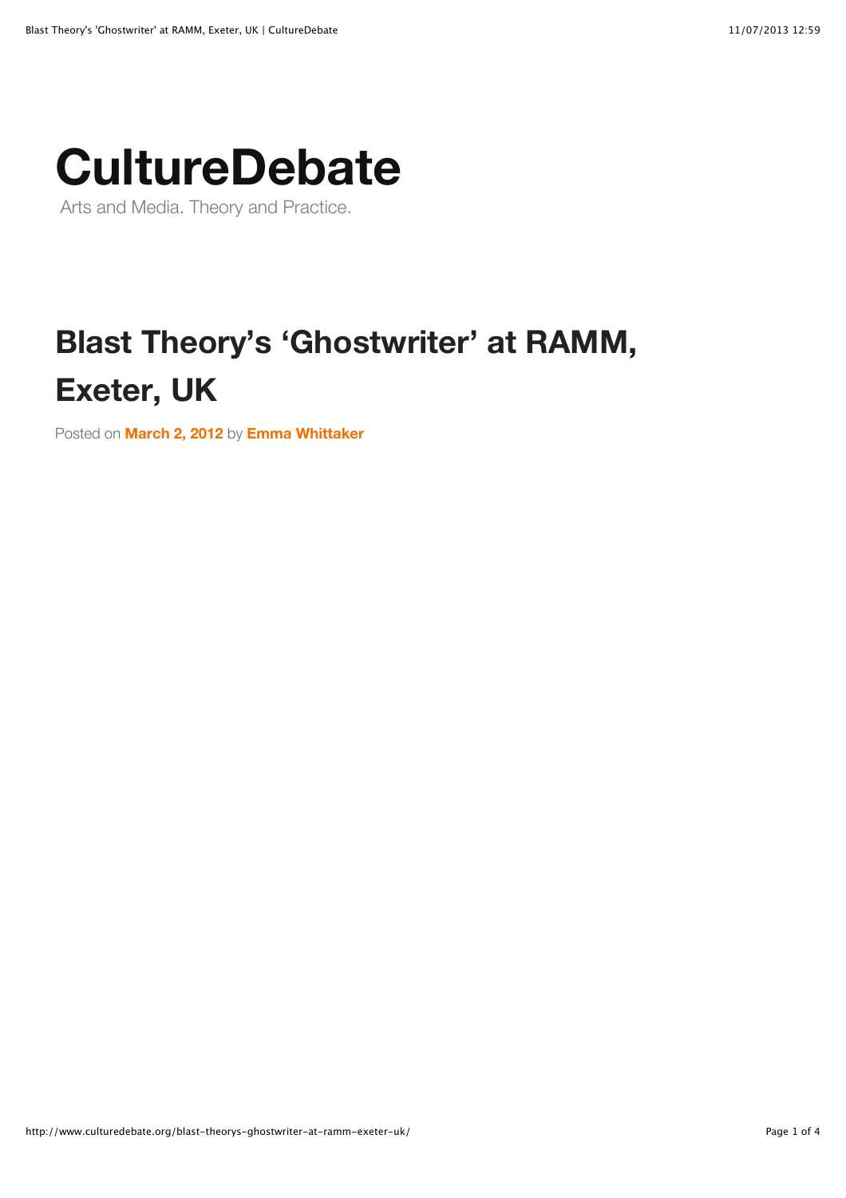## **[CultureDebate](http://www.culturedebate.org/)**

Arts and Media. Theory and Practice.

## **Blast Theory's 'Ghostwriter' at RAMM, Exeter, UK**

Posted on **[March 2, 2012](http://www.culturedebate.org/blast-theorys-ghostwriter-at-ramm-exeter-uk/)** by **[Emma Whittaker](http://www.culturedebate.org/author/admin/)**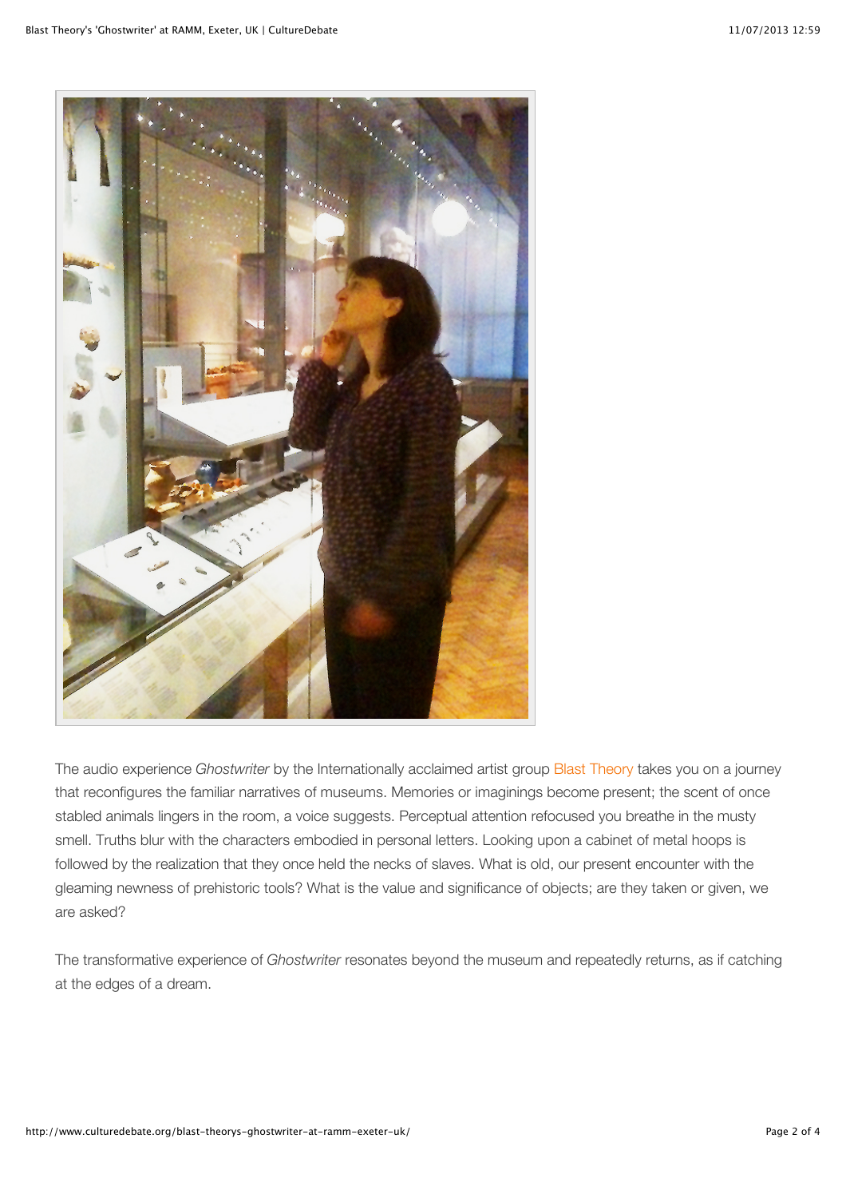

The audio experience *Ghostwriter* by the Internationally acclaimed artist group [Blast Theory](http://www.blasttheory.co.uk/) takes you on a journey that reconfigures the familiar narratives of museums. Memories or imaginings become present; the scent of once stabled animals lingers in the room, a voice suggests. Perceptual attention refocused you breathe in the musty smell. Truths blur with the characters embodied in personal letters. Looking upon a cabinet of metal hoops is followed by the realization that they once held the necks of slaves. What is old, our present encounter with the gleaming newness of prehistoric tools? What is the value and significance of objects; are they taken or given, we are asked?

The transformative experience of *Ghostwriter* resonates beyond the museum and repeatedly returns, as if catching at the edges of a dream.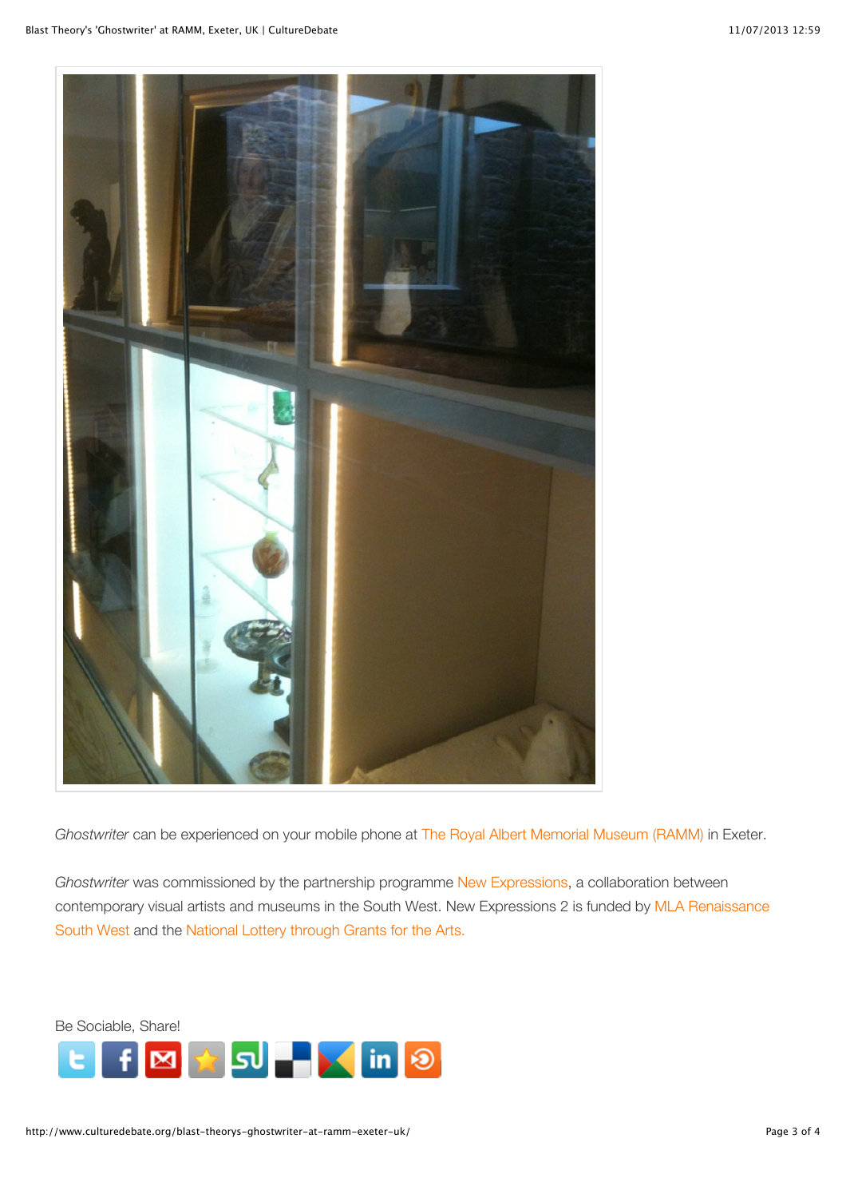

*Ghostwriter* can be experienced on your mobile phone at [The Royal Albert Memorial Museum \(RAMM\)](http://www.rammuseum.org.uk/exhibitions/ghostwriter) in Exeter.

*Ghostwriter* was commissioned by the partnership programme [New Expressions,](http://www.newexpressions.org/) a collaboration between [contemporary visual artists and museums in the South West. New Expressions 2 is funded by MLA Renaissance](http://www.mla.gov.uk/what/programmes/renaissance/regions/south_west) South West and the [National Lottery through Grants for the Arts.](http://www.artscouncil.org.uk/funding/apply-for-funding/grants-for-the-arts/)